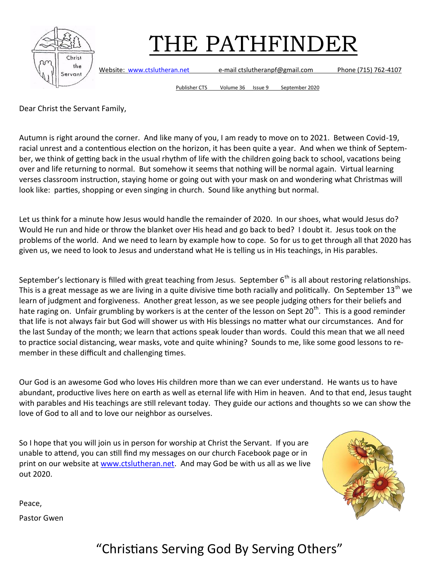

Website: [www.ctslutheran.net](http://www.ctslutheran.net/) e-mail ctslutheranpf@gmail.com Phone (715) 762-4107

Publisher CTS Volume 36 Issue 9 September 2020

Dear Christ the Servant Family,

Autumn is right around the corner. And like many of you, I am ready to move on to 2021. Between Covid-19, racial unrest and a contentious election on the horizon, it has been quite a year. And when we think of September, we think of getting back in the usual rhythm of life with the children going back to school, vacations being over and life returning to normal. But somehow it seems that nothing will be normal again. Virtual learning verses classroom instruction, staying home or going out with your mask on and wondering what Christmas will look like: parties, shopping or even singing in church. Sound like anything but normal.

Let us think for a minute how Jesus would handle the remainder of 2020. In our shoes, what would Jesus do? Would He run and hide or throw the blanket over His head and go back to bed? I doubt it. Jesus took on the problems of the world. And we need to learn by example how to cope. So for us to get through all that 2020 has given us, we need to look to Jesus and understand what He is telling us in His teachings, in His parables.

September's lectionary is filled with great teaching from Jesus. September  $6<sup>th</sup>$  is all about restoring relationships. This is a great message as we are living in a quite divisive time both racially and politically. On September  $13<sup>th</sup>$  we learn of judgment and forgiveness. Another great lesson, as we see people judging others for their beliefs and hate raging on. Unfair grumbling by workers is at the center of the lesson on Sept 20<sup>th</sup>. This is a good reminder that life is not always fair but God will shower us with His blessings no matter what our circumstances. And for the last Sunday of the month; we learn that actions speak louder than words. Could this mean that we all need to practice social distancing, wear masks, vote and quite whining? Sounds to me, like some good lessons to remember in these difficult and challenging times.

Our God is an awesome God who loves His children more than we can ever understand. He wants us to have abundant, productive lives here on earth as well as eternal life with Him in heaven. And to that end, Jesus taught with parables and His teachings are still relevant today. They guide our actions and thoughts so we can show the love of God to all and to love our neighbor as ourselves.

So I hope that you will join us in person for worship at Christ the Servant. If you are unable to attend, you can still find my messages on our church Facebook page or in print on our website at [www.ctslutheran.net.](http://www.ctslutheran.net) And may God be with us all as we live out 2020.



Peace,

Pastor Gwen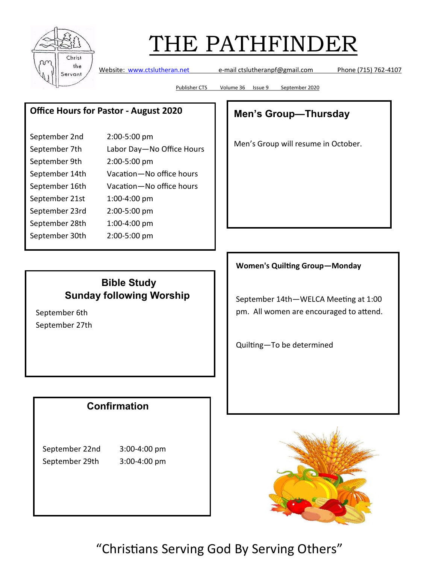

Website: [www.ctslutheran.net](http://www.ctslutheran.net/) e-mail ctslutheranpf@gmail.com Phone (715) 762-4107

Publisher CTS Volume 36 Issue 9 September 2020

### **Office Hours for Pastor - August 2020**

| September 2nd  | 2:00-5:00 pm              |
|----------------|---------------------------|
| September 7th  | Labor Day-No Office Hours |
| September 9th  | 2:00-5:00 pm              |
| September 14th | Vacation-No office hours  |
| September 16th | Vacation-No office hours  |
| September 21st | 1:00-4:00 pm              |
| September 23rd | 2:00-5:00 pm              |
| September 28th | 1:00-4:00 pm              |
| September 30th | 2:00-5:00 pm              |

### **Bible Study Sunday following Worship**

September 6th September 27th

### **Confirmation**

September 22nd 3:00-4:00 pm September 29th 3:00-4:00 pm

## **Men's Group—Thursday**

Men's Group will resume in October.

#### **Women's Quilting Group—Monday**

September 14th—WELCA Meeting at 1:00 pm. All women are encouraged to attend.

Quilting—To be determined

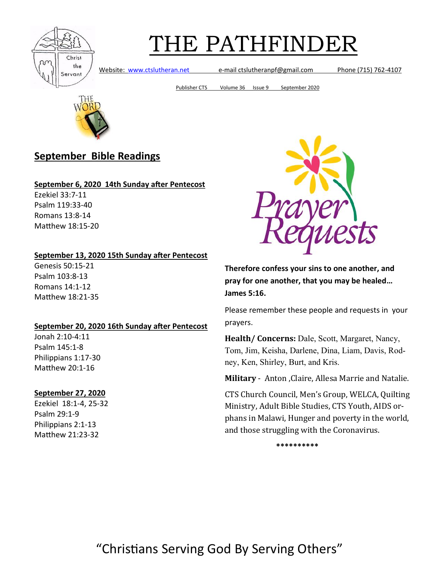

Website: [www.ctslutheran.net](http://www.ctslutheran.net/) e-mail ctslutheranpf@gmail.com Phone (715) 762-4107

Publisher CTS Volume 36 Issue 9 September 2020



### **September Bible Readings**

#### **September 6, 2020 14th Sunday after Pentecost**

Ezekiel 33:7-11 Psalm 119:33-40 Romans 13:8-14 Matthew 18:15-20

#### **September 13, 2020 15th Sunday after Pentecost**

Genesis 50:15-21 Psalm 103:8-13 Romans 14:1-12 Matthew 18:21-35

#### **September 20, 2020 16th Sunday after Pentecost**

Jonah 2:10-4:11 Psalm 145:1-8 Philippians 1:17-30 Matthew 20:1-16

#### **September 27, 2020**

Ezekiel 18:1-4, 25-32 Psalm 29:1-9 Philippians 2:1-13 Matthew 21:23-32



**Therefore confess your sins to one another, and pray for one another, that you may be healed… James 5:16.**

Please remember these people and requests in your prayers.

**Health/ Concerns:** Dale, Scott, Margaret, Nancy, Tom, Jim, Keisha, Darlene, Dina, Liam, Davis, Rodney, Ken, Shirley, Burt, and Kris.

**Military** - Anton ,Claire, Allesa Marrie and Natalie.

CTS Church Council, Men's Group, WELCA, Quilting Ministry, Adult Bible Studies, CTS Youth, AIDS orphans in Malawi, Hunger and poverty in the world, and those struggling with the Coronavirus.

**\*\*\*\*\*\*\*\*\*\***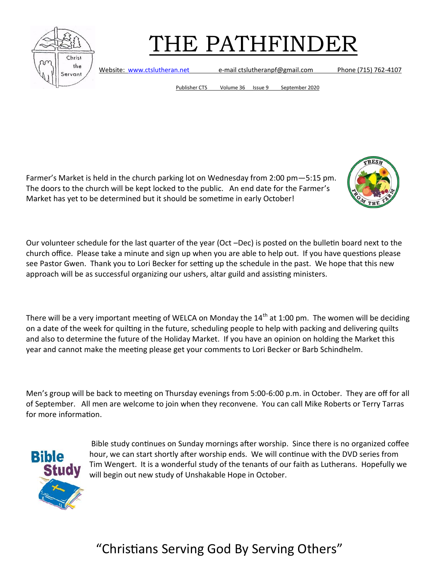

Website: [www.ctslutheran.net](http://www.ctslutheran.net/) e-mail ctslutheranpf@gmail.com Phone (715) 762-4107

Publisher CTS Volume 36 Issue 9 September 2020

Farmer's Market is held in the church parking lot on Wednesday from 2:00 pm—5:15 pm. The doors to the church will be kept locked to the public. An end date for the Farmer's Market has yet to be determined but it should be sometime in early October!



Our volunteer schedule for the last quarter of the year (Oct –Dec) is posted on the bulletin board next to the church office. Please take a minute and sign up when you are able to help out. If you have questions please see Pastor Gwen. Thank you to Lori Becker for setting up the schedule in the past. We hope that this new approach will be as successful organizing our ushers, altar guild and assisting ministers.

There will be a very important meeting of WELCA on Monday the  $14<sup>th</sup>$  at 1:00 pm. The women will be deciding on a date of the week for quilting in the future, scheduling people to help with packing and delivering quilts and also to determine the future of the Holiday Market. If you have an opinion on holding the Market this year and cannot make the meeting please get your comments to Lori Becker or Barb Schindhelm.

Men's group will be back to meeting on Thursday evenings from 5:00-6:00 p.m. in October. They are off for all of September. All men are welcome to join when they reconvene. You can call Mike Roberts or Terry Tarras for more information.



Bible study continues on Sunday mornings after worship. Since there is no organized coffee hour, we can start shortly after worship ends. We will continue with the DVD series from Tim Wengert. It is a wonderful study of the tenants of our faith as Lutherans. Hopefully we will begin out new study of Unshakable Hope in October.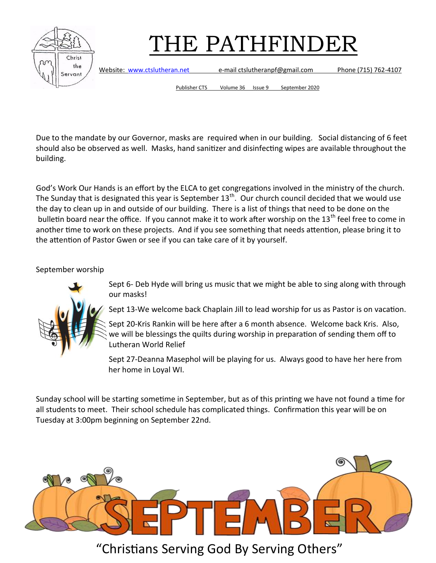



Website: [www.ctslutheran.net](http://www.ctslutheran.net/) e-mail ctslutheranpf@gmail.com Phone (715) 762-4107

Publisher CTS Volume 36 Issue 9 September 2020

Due to the mandate by our Governor, masks are required when in our building. Social distancing of 6 feet should also be observed as well. Masks, hand sanitizer and disinfecting wipes are available throughout the building.

God's Work Our Hands is an effort by the ELCA to get congregations involved in the ministry of the church. The Sunday that is designated this year is September  $13<sup>th</sup>$ . Our church council decided that we would use the day to clean up in and outside of our building. There is a list of things that need to be done on the bulletin board near the office. If you cannot make it to work after worship on the 13<sup>th</sup> feel free to come in another time to work on these projects. And if you see something that needs attention, please bring it to the attention of Pastor Gwen or see if you can take care of it by yourself.

September worship



Sept 6- Deb Hyde will bring us music that we might be able to sing along with through our masks!

Sept 13-We welcome back Chaplain Jill to lead worship for us as Pastor is on vacation.

Sept 20-Kris Rankin will be here after a 6 month absence. Welcome back Kris. Also, we will be blessings the quilts during worship in preparation of sending them off to Lutheran World Relief

Sept 27-Deanna Masephol will be playing for us. Always good to have her here from her home in Loyal WI.

Sunday school will be starting sometime in September, but as of this printing we have not found a time for all students to meet. Their school schedule has complicated things. Confirmation this year will be on Tuesday at 3:00pm beginning on September 22nd.